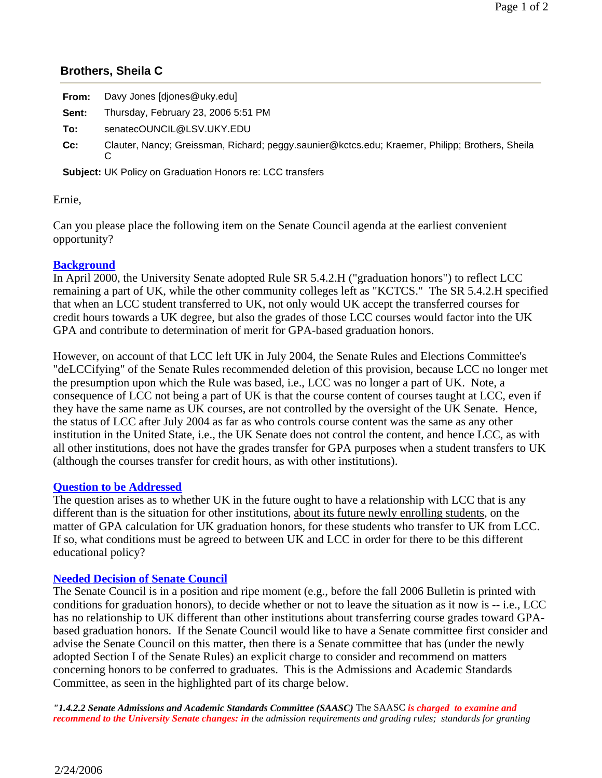## **Brothers, Sheila C**

| From:  | Davy Jones [djones@uky.edu]                                                                     |
|--------|-------------------------------------------------------------------------------------------------|
| Sent:  | Thursday, February 23, 2006 5:51 PM                                                             |
| To:    | senatecOUNCIL@LSV.UKY.EDU                                                                       |
| $Cc$ : | Clauter, Nancy; Greissman, Richard; peggy.saunier@kctcs.edu; Kraemer, Philipp; Brothers, Sheila |
|        | <b>Subject:</b> UK Policy on Graduation Honors re: LCC transfers                                |

Ernie,

Can you please place the following item on the Senate Council agenda at the earliest convenient opportunity?

## **Background**

In April 2000, the University Senate adopted Rule SR 5.4.2.H ("graduation honors") to reflect LCC remaining a part of UK, while the other community colleges left as "KCTCS." The SR 5.4.2.H specified that when an LCC student transferred to UK, not only would UK accept the transferred courses for credit hours towards a UK degree, but also the grades of those LCC courses would factor into the UK GPA and contribute to determination of merit for GPA-based graduation honors.

However, on account of that LCC left UK in July 2004, the Senate Rules and Elections Committee's "deLCCifying" of the Senate Rules recommended deletion of this provision, because LCC no longer met the presumption upon which the Rule was based, i.e., LCC was no longer a part of UK. Note, a consequence of LCC not being a part of UK is that the course content of courses taught at LCC, even if they have the same name as UK courses, are not controlled by the oversight of the UK Senate. Hence, the status of LCC after July 2004 as far as who controls course content was the same as any other institution in the United State, i.e., the UK Senate does not control the content, and hence LCC, as with all other institutions, does not have the grades transfer for GPA purposes when a student transfers to UK (although the courses transfer for credit hours, as with other institutions).

## **Question to be Addressed**

The question arises as to whether UK in the future ought to have a relationship with LCC that is any different than is the situation for other institutions, about its future newly enrolling students, on the matter of GPA calculation for UK graduation honors, for these students who transfer to UK from LCC. If so, what conditions must be agreed to between UK and LCC in order for there to be this different educational policy?

## **Needed Decision of Senate Council**

The Senate Council is in a position and ripe moment (e.g., before the fall 2006 Bulletin is printed with conditions for graduation honors), to decide whether or not to leave the situation as it now is -- i.e., LCC has no relationship to UK different than other institutions about transferring course grades toward GPAbased graduation honors. If the Senate Council would like to have a Senate committee first consider and advise the Senate Council on this matter, then there is a Senate committee that has (under the newly adopted Section I of the Senate Rules) an explicit charge to consider and recommend on matters concerning honors to be conferred to graduates. This is the Admissions and Academic Standards Committee, as seen in the highlighted part of its charge below.

*"1.4.2.2 Senate Admissions and Academic Standards Committee (SAASC)* The SAASC *is charged to examine and recommend to the University Senate changes: in the admission requirements and grading rules; standards for granting*